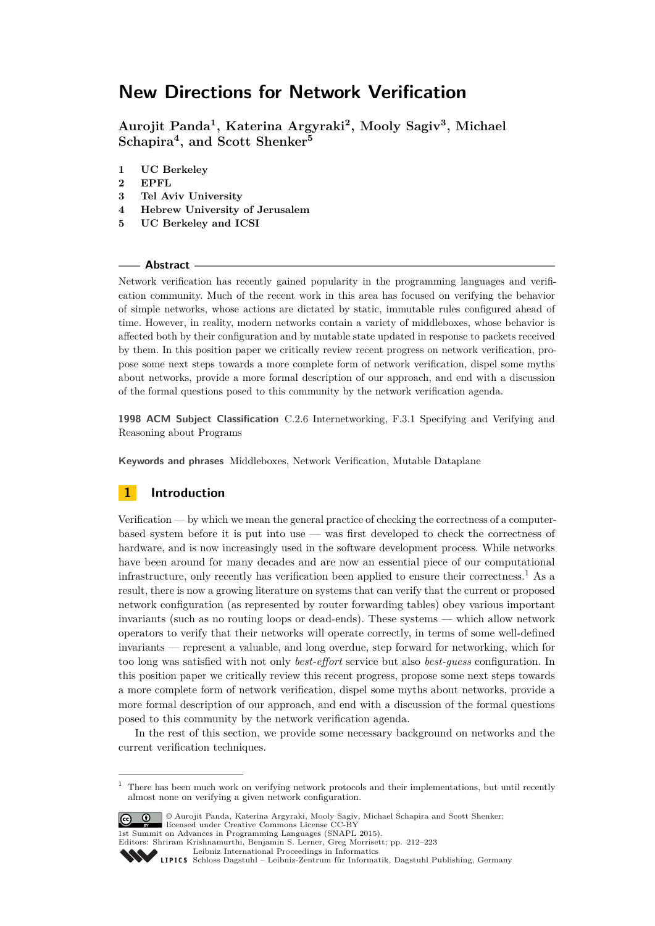**Aurojit Panda<sup>1</sup> , Katerina Argyraki<sup>2</sup> , Mooly Sagiv<sup>3</sup> , Michael Schapira<sup>4</sup> , and Scott Shenker<sup>5</sup>**

- **1 UC Berkeley**
- **2 EPFL**
- **3 Tel Aviv University**
- **4 Hebrew University of Jerusalem**
- **5 UC Berkeley and ICSI**

#### **Abstract**

Network verification has recently gained popularity in the programming languages and verification community. Much of the recent work in this area has focused on verifying the behavior of simple networks, whose actions are dictated by static, immutable rules configured ahead of time. However, in reality, modern networks contain a variety of middleboxes, whose behavior is affected both by their configuration and by mutable state updated in response to packets received by them. In this position paper we critically review recent progress on network verification, propose some next steps towards a more complete form of network verification, dispel some myths about networks, provide a more formal description of our approach, and end with a discussion of the formal questions posed to this community by the network verification agenda.

**1998 ACM Subject Classification** C.2.6 Internetworking, F.3.1 Specifying and Verifying and Reasoning about Programs

**Keywords and phrases** Middleboxes, Network Verification, Mutable Dataplane

### **1 Introduction**

Verification — by which we mean the general practice of checking the correctness of a computerbased system before it is put into use — was first developed to check the correctness of hardware, and is now increasingly used in the software development process. While networks have been around for many decades and are now an essential piece of our computational infrastructure, only recently has verification been applied to ensure their correctness.<sup>[1](#page-0-0)</sup> As a result, there is now a growing literature on systems that can verify that the current or proposed network configuration (as represented by router forwarding tables) obey various important invariants (such as no routing loops or dead-ends). These systems — which allow network operators to verify that their networks will operate correctly, in terms of some well-defined invariants — represent a valuable, and long overdue, step forward for networking, which for too long was satisfied with not only *best-effort* service but also *best-guess* configuration. In this position paper we critically review this recent progress, propose some next steps towards a more complete form of network verification, dispel some myths about networks, provide a more formal description of our approach, and end with a discussion of the formal questions posed to this community by the network verification agenda.

In the rest of this section, we provide some necessary background on networks and the current verification techniques.

<span id="page-0-0"></span> $1$  There has been much work on verifying network protocols and their implementations, but until recently almost none on verifying a given network configuration.



<sup>©</sup> Aurojit Panda, Katerina Argyraki, Mooly Sagiv, Michael Schapira and Scott Shenker; licensed under Creative Commons License CC-BY 1st Summit on Advances in Programming Languages (SNAPL 2015).

Editors: Shriram Krishnamurthi, Benjamin S. Lerner, Greg Morrisett; pp. 212[–223](#page-11-0)

[Leibniz International Proceedings in Informatics](http://www.dagstuhl.de/lipics/) Leibniz international Froceedings in informatik, Dagstuhl Publishing, Germany<br>LIPICS [Schloss Dagstuhl – Leibniz-Zentrum für Informatik, Dagstuhl Publishing, Germany](http://www.dagstuhl.de)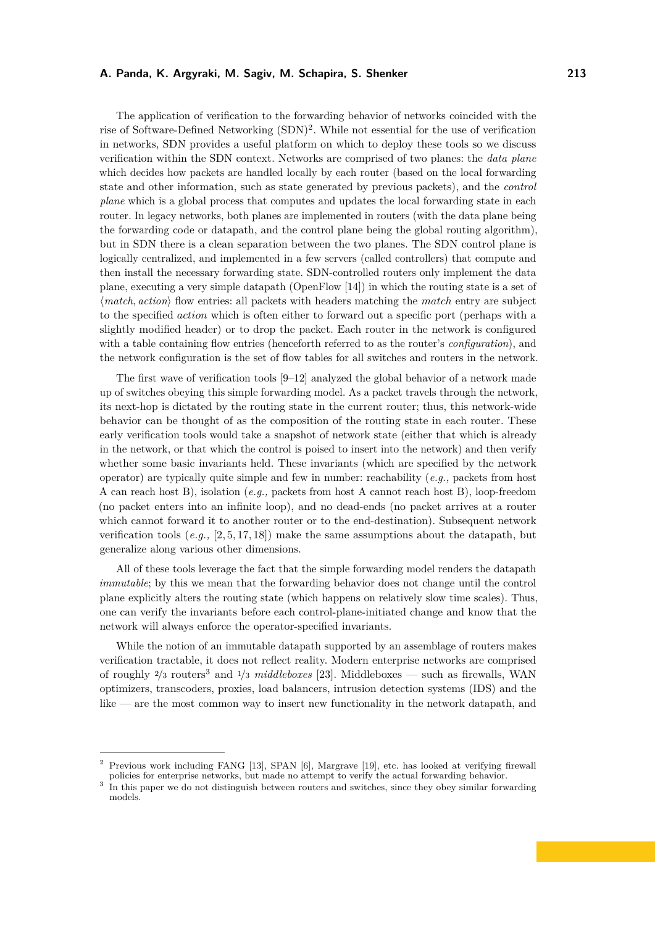The application of verification to the forwarding behavior of networks coincided with the rise of Software-Defined Networking (SDN)<sup>[2](#page-1-0)</sup>. While not essential for the use of verification in networks, SDN provides a useful platform on which to deploy these tools so we discuss verification within the SDN context. Networks are comprised of two planes: the *data plane* which decides how packets are handled locally by each router (based on the local forwarding state and other information, such as state generated by previous packets), and the *control plane* which is a global process that computes and updates the local forwarding state in each router. In legacy networks, both planes are implemented in routers (with the data plane being the forwarding code or datapath, and the control plane being the global routing algorithm), but in SDN there is a clean separation between the two planes. The SDN control plane is logically centralized, and implemented in a few servers (called controllers) that compute and then install the necessary forwarding state. SDN-controlled routers only implement the data plane, executing a very simple datapath (OpenFlow [\[14\]](#page-10-0)) in which the routing state is a set of  $\langle match, action \rangle$  flow entries: all packets with headers matching the *match* entry are subject to the specified *action* which is often either to forward out a specific port (perhaps with a slightly modified header) or to drop the packet. Each router in the network is configured with a table containing flow entries (henceforth referred to as the router's *configuration*), and the network configuration is the set of flow tables for all switches and routers in the network.

The first wave of verification tools [\[9](#page-10-1)[–12\]](#page-10-2) analyzed the global behavior of a network made up of switches obeying this simple forwarding model. As a packet travels through the network, its next-hop is dictated by the routing state in the current router; thus, this network-wide behavior can be thought of as the composition of the routing state in each router. These early verification tools would take a snapshot of network state (either that which is already in the network, or that which the control is poised to insert into the network) and then verify whether some basic invariants held. These invariants (which are specified by the network operator) are typically quite simple and few in number: reachability (*e.g.,* packets from host A can reach host B), isolation (*e.g.,* packets from host A cannot reach host B), loop-freedom (no packet enters into an infinite loop), and no dead-ends (no packet arrives at a router which cannot forward it to another router or to the end-destination). Subsequent network verification tools (*e.g.,* [\[2,](#page-10-3) [5,](#page-10-4) [17,](#page-10-5) [18\]](#page-10-6)) make the same assumptions about the datapath, but generalize along various other dimensions.

All of these tools leverage the fact that the simple forwarding model renders the datapath *immutable*; by this we mean that the forwarding behavior does not change until the control plane explicitly alters the routing state (which happens on relatively slow time scales). Thus, one can verify the invariants before each control-plane-initiated change and know that the network will always enforce the operator-specified invariants.

While the notion of an immutable datapath supported by an assemblage of routers makes verification tractable, it does not reflect reality. Modern enterprise networks are comprised of roughly <sup>2</sup>*/*<sup>3</sup> routers[3](#page-1-1) and <sup>1</sup>*/*<sup>3</sup> *middleboxes* [\[23\]](#page-11-1). Middleboxes — such as firewalls, WAN optimizers, transcoders, proxies, load balancers, intrusion detection systems (IDS) and the like — are the most common way to insert new functionality in the network datapath, and

<span id="page-1-0"></span><sup>2</sup> Previous work including FANG [\[13\]](#page-10-7), SPAN [\[6\]](#page-10-8), Margrave [\[19\]](#page-10-9), etc. has looked at verifying firewall policies for enterprise networks, but made no attempt to verify the actual forwarding behavior.

<span id="page-1-1"></span><sup>&</sup>lt;sup>3</sup> In this paper we do not distinguish between routers and switches, since they obey similar forwarding models.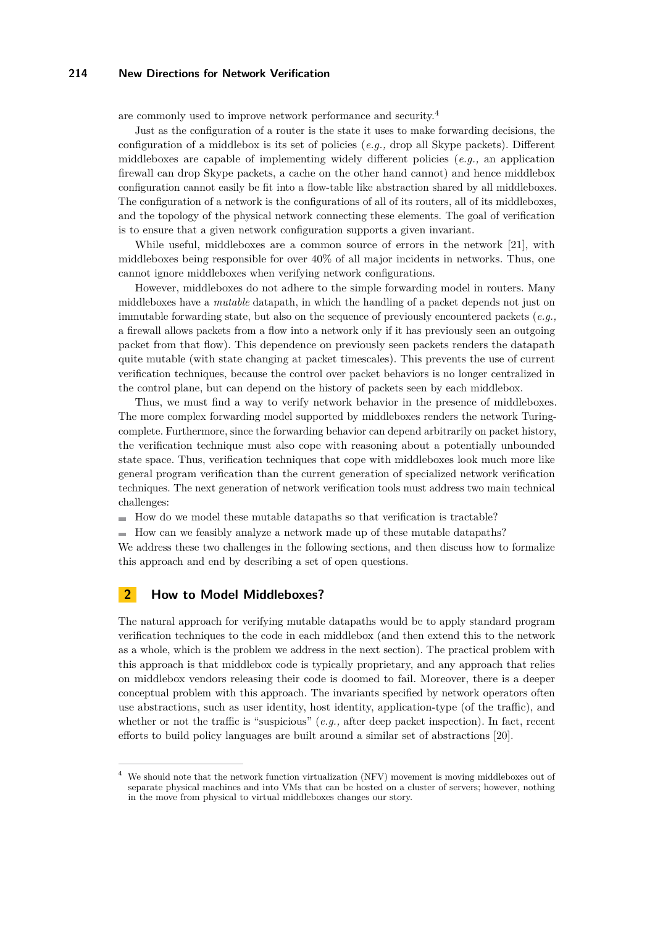are commonly used to improve network performance and security.[4](#page-2-0)

Just as the configuration of a router is the state it uses to make forwarding decisions, the configuration of a middlebox is its set of policies (*e.g.,* drop all Skype packets). Different middleboxes are capable of implementing widely different policies (*e.g.,* an application firewall can drop Skype packets, a cache on the other hand cannot) and hence middlebox configuration cannot easily be fit into a flow-table like abstraction shared by all middleboxes. The configuration of a network is the configurations of all of its routers, all of its middleboxes, and the topology of the physical network connecting these elements. The goal of verification is to ensure that a given network configuration supports a given invariant.

While useful, middleboxes are a common source of errors in the network [\[21\]](#page-11-2), with middleboxes being responsible for over 40% of all major incidents in networks. Thus, one cannot ignore middleboxes when verifying network configurations.

However, middleboxes do not adhere to the simple forwarding model in routers. Many middleboxes have a *mutable* datapath, in which the handling of a packet depends not just on immutable forwarding state, but also on the sequence of previously encountered packets (*e.g.,* a firewall allows packets from a flow into a network only if it has previously seen an outgoing packet from that flow). This dependence on previously seen packets renders the datapath quite mutable (with state changing at packet timescales). This prevents the use of current verification techniques, because the control over packet behaviors is no longer centralized in the control plane, but can depend on the history of packets seen by each middlebox.

Thus, we must find a way to verify network behavior in the presence of middleboxes. The more complex forwarding model supported by middleboxes renders the network Turingcomplete. Furthermore, since the forwarding behavior can depend arbitrarily on packet history, the verification technique must also cope with reasoning about a potentially unbounded state space. Thus, verification techniques that cope with middleboxes look much more like general program verification than the current generation of specialized network verification techniques. The next generation of network verification tools must address two main technical challenges:

 $\blacksquare$  How do we model these mutable datapaths so that verification is tractable?

 $\blacksquare$  How can we feasibly analyze a network made up of these mutable datapaths?

We address these two challenges in the following sections, and then discuss how to formalize this approach and end by describing a set of open questions.

## <span id="page-2-1"></span>**2 How to Model Middleboxes?**

The natural approach for verifying mutable datapaths would be to apply standard program verification techniques to the code in each middlebox (and then extend this to the network as a whole, which is the problem we address in the next section). The practical problem with this approach is that middlebox code is typically proprietary, and any approach that relies on middlebox vendors releasing their code is doomed to fail. Moreover, there is a deeper conceptual problem with this approach. The invariants specified by network operators often use abstractions, such as user identity, host identity, application-type (of the traffic), and whether or not the traffic is "suspicious" (*e.g.,* after deep packet inspection). In fact, recent efforts to build policy languages are built around a similar set of abstractions [\[20\]](#page-11-3).

<span id="page-2-0"></span><sup>4</sup> We should note that the network function virtualization (NFV) movement is moving middleboxes out of separate physical machines and into VMs that can be hosted on a cluster of servers; however, nothing in the move from physical to virtual middleboxes changes our story.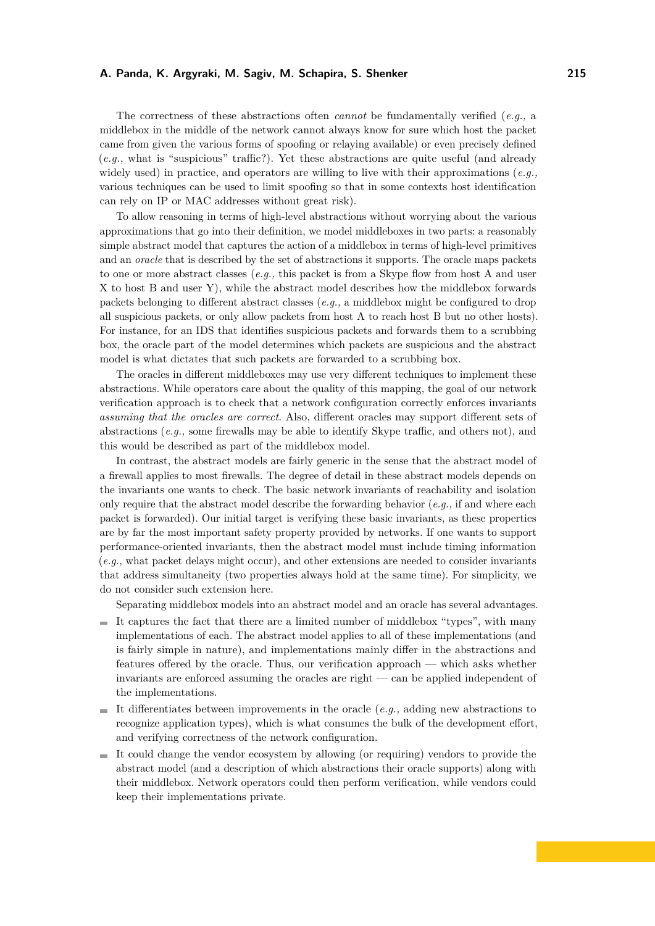The correctness of these abstractions often *cannot* be fundamentally verified (*e.g.,* a middlebox in the middle of the network cannot always know for sure which host the packet came from given the various forms of spoofing or relaying available) or even precisely defined (*e.g.,* what is "suspicious" traffic?). Yet these abstractions are quite useful (and already widely used) in practice, and operators are willing to live with their approximations (*e.g.,* various techniques can be used to limit spoofing so that in some contexts host identification can rely on IP or MAC addresses without great risk).

To allow reasoning in terms of high-level abstractions without worrying about the various approximations that go into their definition, we model middleboxes in two parts: a reasonably simple abstract model that captures the action of a middlebox in terms of high-level primitives and an *oracle* that is described by the set of abstractions it supports. The oracle maps packets to one or more abstract classes (*e.g.,* this packet is from a Skype flow from host A and user X to host B and user Y), while the abstract model describes how the middlebox forwards packets belonging to different abstract classes (*e.g.,* a middlebox might be configured to drop all suspicious packets, or only allow packets from host A to reach host B but no other hosts). For instance, for an IDS that identifies suspicious packets and forwards them to a scrubbing box, the oracle part of the model determines which packets are suspicious and the abstract model is what dictates that such packets are forwarded to a scrubbing box.

The oracles in different middleboxes may use very different techniques to implement these abstractions. While operators care about the quality of this mapping, the goal of our network verification approach is to check that a network configuration correctly enforces invariants *assuming that the oracles are correct*. Also, different oracles may support different sets of abstractions (*e.g.,* some firewalls may be able to identify Skype traffic, and others not), and this would be described as part of the middlebox model.

In contrast, the abstract models are fairly generic in the sense that the abstract model of a firewall applies to most firewalls. The degree of detail in these abstract models depends on the invariants one wants to check. The basic network invariants of reachability and isolation only require that the abstract model describe the forwarding behavior (*e.g.,* if and where each packet is forwarded). Our initial target is verifying these basic invariants, as these properties are by far the most important safety property provided by networks. If one wants to support performance-oriented invariants, then the abstract model must include timing information (*e.g.,* what packet delays might occur), and other extensions are needed to consider invariants that address simultaneity (two properties always hold at the same time). For simplicity, we do not consider such extension here.

Separating middlebox models into an abstract model and an oracle has several advantages.

- $\blacksquare$  It captures the fact that there are a limited number of middlebox "types", with many implementations of each. The abstract model applies to all of these implementations (and is fairly simple in nature), and implementations mainly differ in the abstractions and features offered by the oracle. Thus, our verification approach — which asks whether invariants are enforced assuming the oracles are right — can be applied independent of the implementations.
- It differentiates between improvements in the oracle  $(e.g.,$  adding new abstractions to recognize application types), which is what consumes the bulk of the development effort, and verifying correctness of the network configuration.
- $\blacksquare$  It could change the vendor ecosystem by allowing (or requiring) vendors to provide the abstract model (and a description of which abstractions their oracle supports) along with their middlebox. Network operators could then perform verification, while vendors could keep their implementations private.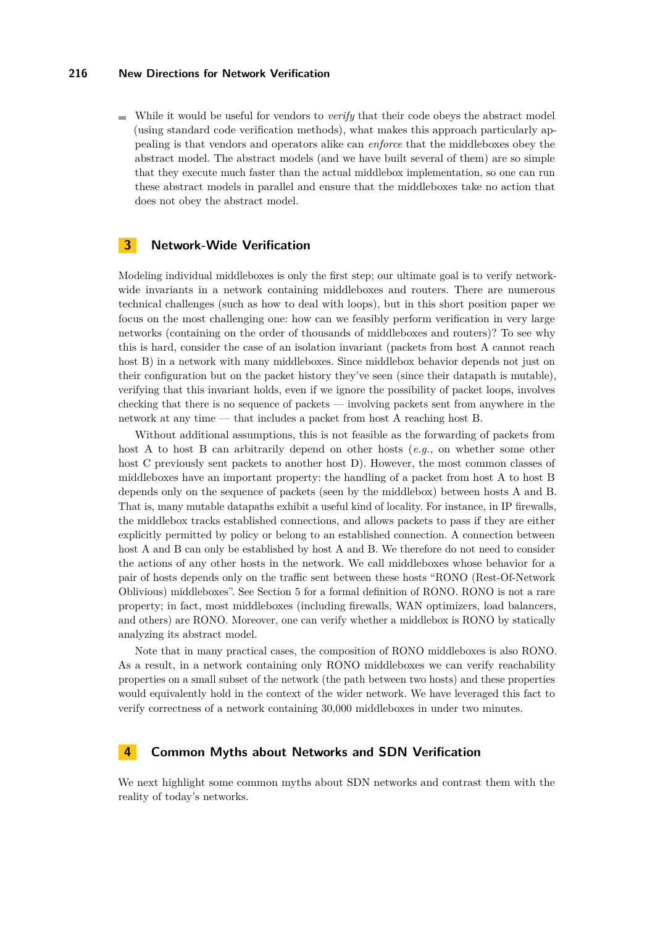While it would be useful for vendors to *verify* that their code obeys the abstract model (using standard code verification methods), what makes this approach particularly appealing is that vendors and operators alike can *enforce* that the middleboxes obey the abstract model. The abstract models (and we have built several of them) are so simple that they execute much faster than the actual middlebox implementation, so one can run these abstract models in parallel and ensure that the middleboxes take no action that does not obey the abstract model.

### <span id="page-4-0"></span>**3 Network-Wide Verification**

Modeling individual middleboxes is only the first step; our ultimate goal is to verify networkwide invariants in a network containing middleboxes and routers. There are numerous technical challenges (such as how to deal with loops), but in this short position paper we focus on the most challenging one: how can we feasibly perform verification in very large networks (containing on the order of thousands of middleboxes and routers)? To see why this is hard, consider the case of an isolation invariant (packets from host A cannot reach host B) in a network with many middleboxes. Since middlebox behavior depends not just on their configuration but on the packet history they've seen (since their datapath is mutable), verifying that this invariant holds, even if we ignore the possibility of packet loops, involves checking that there is no sequence of packets — involving packets sent from anywhere in the network at any time — that includes a packet from host A reaching host B.

Without additional assumptions, this is not feasible as the forwarding of packets from host A to host B can arbitrarily depend on other hosts (*e.g.,* on whether some other host C previously sent packets to another host D). However, the most common classes of middleboxes have an important property: the handling of a packet from host A to host B depends only on the sequence of packets (seen by the middlebox) between hosts A and B. That is, many mutable datapaths exhibit a useful kind of locality. For instance, in IP firewalls, the middlebox tracks established connections, and allows packets to pass if they are either explicitly permitted by policy or belong to an established connection. A connection between host A and B can only be established by host A and B. We therefore do not need to consider the actions of any other hosts in the network. We call middleboxes whose behavior for a pair of hosts depends only on the traffic sent between these hosts "RONO (Rest-Of-Network Oblivious) middleboxes". See Section [5](#page-5-0) for a formal definition of RONO. RONO is not a rare property; in fact, most middleboxes (including firewalls, WAN optimizers, load balancers, and others) are RONO. Moreover, one can verify whether a middlebox is RONO by statically analyzing its abstract model.

Note that in many practical cases, the composition of RONO middleboxes is also RONO. As a result, in a network containing only RONO middleboxes we can verify reachability properties on a small subset of the network (the path between two hosts) and these properties would equivalently hold in the context of the wider network. We have leveraged this fact to verify correctness of a network containing 30,000 middleboxes in under two minutes.

### **4 Common Myths about Networks and SDN Verification**

We next highlight some common myths about SDN networks and contrast them with the reality of today's networks.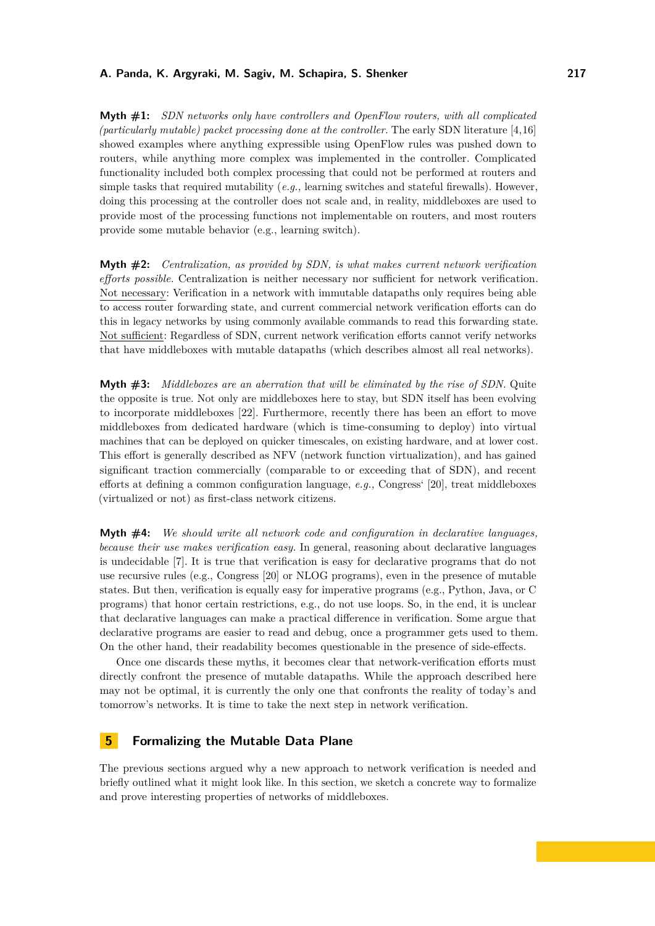**Myth #1:** *SDN networks only have controllers and OpenFlow routers, with all complicated (particularly mutable) packet processing done at the controller.* The early SDN literature [\[4,](#page-10-10)[16\]](#page-10-11) showed examples where anything expressible using OpenFlow rules was pushed down to routers, while anything more complex was implemented in the controller. Complicated functionality included both complex processing that could not be performed at routers and simple tasks that required mutability (*e.g.,* learning switches and stateful firewalls). However, doing this processing at the controller does not scale and, in reality, middleboxes are used to provide most of the processing functions not implementable on routers, and most routers provide some mutable behavior (e.g., learning switch).

**Myth #2:** *Centralization, as provided by SDN, is what makes current network verification efforts possible.* Centralization is neither necessary nor sufficient for network verification. Not necessary: Verification in a network with immutable datapaths only requires being able to access router forwarding state, and current commercial network verification efforts can do this in legacy networks by using commonly available commands to read this forwarding state. Not sufficient: Regardless of SDN, current network verification efforts cannot verify networks that have middleboxes with mutable datapaths (which describes almost all real networks).

**Myth #3:** *Middleboxes are an aberration that will be eliminated by the rise of SDN.* Quite the opposite is true. Not only are middleboxes here to stay, but SDN itself has been evolving to incorporate middleboxes [\[22\]](#page-11-4). Furthermore, recently there has been an effort to move middleboxes from dedicated hardware (which is time-consuming to deploy) into virtual machines that can be deployed on quicker timescales, on existing hardware, and at lower cost. This effort is generally described as NFV (network function virtualization), and has gained significant traction commercially (comparable to or exceeding that of SDN), and recent efforts at defining a common configuration language, *e.g.,* Congress' [\[20\]](#page-11-3), treat middleboxes (virtualized or not) as first-class network citizens.

**Myth #4:** *We should write all network code and configuration in declarative languages, because their use makes verification easy.* In general, reasoning about declarative languages is undecidable [\[7\]](#page-10-12). It is true that verification is easy for declarative programs that do not use recursive rules (e.g., Congress [\[20\]](#page-11-3) or NLOG programs), even in the presence of mutable states. But then, verification is equally easy for imperative programs (e.g., Python, Java, or C programs) that honor certain restrictions, e.g., do not use loops. So, in the end, it is unclear that declarative languages can make a practical difference in verification. Some argue that declarative programs are easier to read and debug, once a programmer gets used to them. On the other hand, their readability becomes questionable in the presence of side-effects.

Once one discards these myths, it becomes clear that network-verification efforts must directly confront the presence of mutable datapaths. While the approach described here may not be optimal, it is currently the only one that confronts the reality of today's and tomorrow's networks. It is time to take the next step in network verification.

### <span id="page-5-0"></span>**5 Formalizing the Mutable Data Plane**

The previous sections argued why a new approach to network verification is needed and briefly outlined what it might look like. In this section, we sketch a concrete way to formalize and prove interesting properties of networks of middleboxes.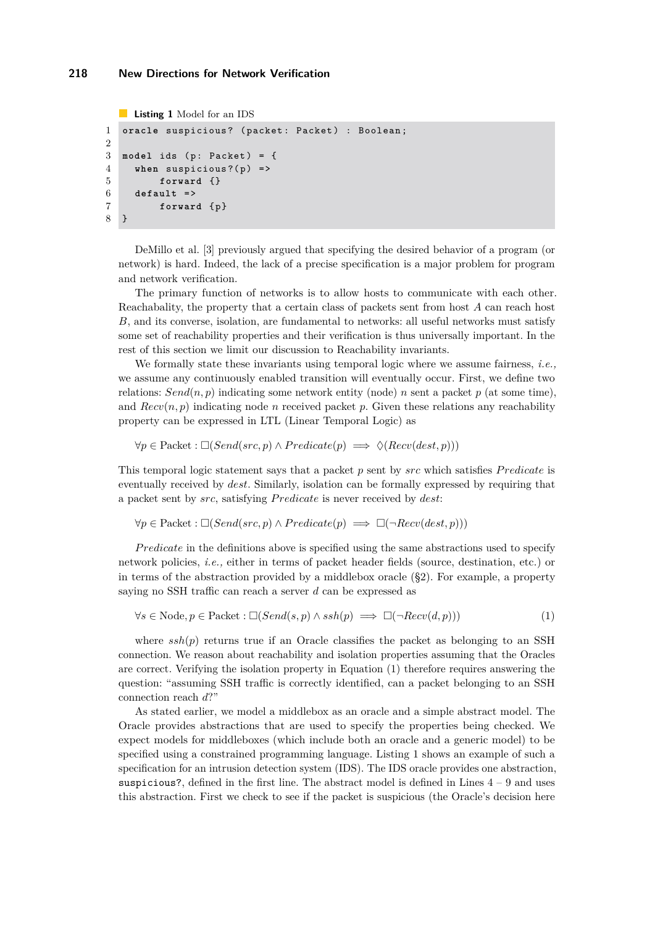```
Listing 1 Model for an IDS
1 oracle suspicious? (packet: Packet) : Boolean;
2
3 model ids (p: Packet) = {
4 when suspicious?(p) =>
5 forward {}
6 default = >
7 forward { p }
8 }
```
DeMillo et al. [\[3\]](#page-10-13) previously argued that specifying the desired behavior of a program (or network) is hard. Indeed, the lack of a precise specification is a major problem for program and network verification.

The primary function of networks is to allow hosts to communicate with each other. Reachabality, the property that a certain class of packets sent from host *A* can reach host *B*, and its converse, isolation, are fundamental to networks: all useful networks must satisfy some set of reachability properties and their verification is thus universally important. In the rest of this section we limit our discussion to Reachability invariants.

We formally state these invariants using temporal logic where we assume fairness, *i.e.,* we assume any continuously enabled transition will eventually occur. First, we define two relations:  $Send(n, p)$  indicating some network entity (node) *n* sent a packet *p* (at some time), and  $Recv(n, p)$  indicating node *n* received packet *p*. Given these relations any reachability property can be expressed in LTL (Linear Temporal Logic) as

 $∀p ∈ Packet : \Box(Send(src, p) ∧ Predicate(p) \implies \Diamond(Recv(dest, p)))$ 

This temporal logic statement says that a packet *p* sent by *src* which satisfies *P redicate* is eventually received by *dest*. Similarly, isolation can be formally expressed by requiring that a packet sent by *src*, satisfying *P redicate* is never received by *dest*:

 $∀p ∈ Packet : \Box(Send(src, p) ∧ Predicate(p) \implies \Box(\neg Recv(dest, p)))$ 

*Predicate* in the definitions above is specified using the same abstractions used to specify network policies, *i.e.,* either in terms of packet header fields (source, destination, etc.) or in terms of the abstraction provided by a middlebox oracle ([§2\)](#page-2-1). For example, a property saying no SSH traffic can reach a server *d* can be expressed as

<span id="page-6-0"></span>
$$
\forall s \in \text{Node}, p \in \text{Packet} : \Box(Send(s, p) \land \text{ssh}(p) \implies \Box(\neg \text{Rev}(d, p)))
$$
\n(1)

where  $ssh(p)$  returns true if an Oracle classifies the packet as belonging to an SSH connection. We reason about reachability and isolation properties assuming that the Oracles are correct. Verifying the isolation property in Equation [\(1\)](#page-6-0) therefore requires answering the question: "assuming SSH traffic is correctly identified, can a packet belonging to an SSH connection reach *d*?"

As stated earlier, we model a middlebox as an oracle and a simple abstract model. The Oracle provides abstractions that are used to specify the properties being checked. We expect models for middleboxes (which include both an oracle and a generic model) to be specified using a constrained programming language. Listing [1](#page-6-1) shows an example of such a specification for an intrusion detection system (IDS). The IDS oracle provides one abstraction, suspicious?, defined in the first line. The abstract model is defined in Lines  $4 - 9$  and uses this abstraction. First we check to see if the packet is suspicious (the Oracle's decision here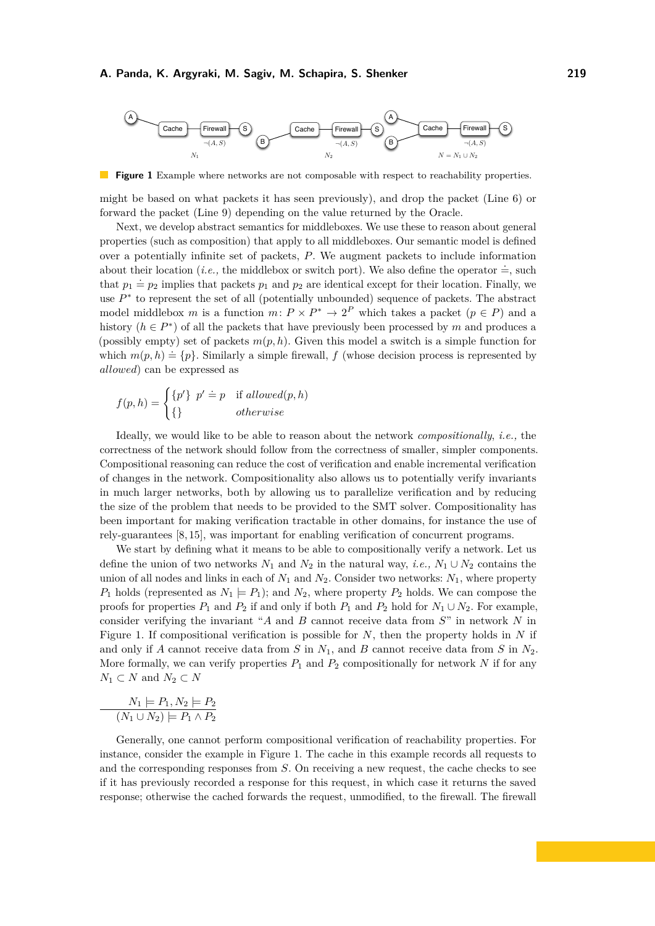<span id="page-7-0"></span>

**The Second Service Figure 1** Example where networks are not composable with respect to reachability properties.

might be based on what packets it has seen previously), and drop the packet (Line 6) or forward the packet (Line 9) depending on the value returned by the Oracle.

Next, we develop abstract semantics for middleboxes. We use these to reason about general properties (such as composition) that apply to all middleboxes. Our semantic model is defined over a potentially infinite set of packets, *P*. We augment packets to include information about their location (*i.e.*, the middlebox or switch port). We also define the operator  $\dot{=}$ , such that  $p_1 \doteq p_2$  implies that packets  $p_1$  and  $p_2$  are identical except for their location. Finally, we use  $P^*$  to represent the set of all (potentially unbounded) sequence of packets. The abstract model middlebox *m* is a function  $m: P \times P^* \to 2^P$  which takes a packet  $(p \in P)$  and a history ( $h \in P^*$ ) of all the packets that have previously been processed by *m* and produces a (possibly empty) set of packets  $m(p, h)$ . Given this model a switch is a simple function for which  $m(p, h) \doteq \{p\}$ . Similarly a simple firewall, *f* (whose decision process is represented by *allowed*) can be expressed as

$$
f(p,h) = \begin{cases} \{p'\} \ \ p' \doteq p & \text{if allowed}(p,h) \\ \{\} & otherwise \end{cases}
$$

Ideally, we would like to be able to reason about the network *compositionally*, *i.e.,* the correctness of the network should follow from the correctness of smaller, simpler components. Compositional reasoning can reduce the cost of verification and enable incremental verification of changes in the network. Compositionality also allows us to potentially verify invariants in much larger networks, both by allowing us to parallelize verification and by reducing the size of the problem that needs to be provided to the SMT solver. Compositionality has been important for making verification tractable in other domains, for instance the use of rely-guarantees [\[8,](#page-10-14) [15\]](#page-10-15), was important for enabling verification of concurrent programs.

We start by defining what it means to be able to compositionally verify a network. Let us define the union of two networks  $N_1$  and  $N_2$  in the natural way, *i.e.*,  $N_1 \cup N_2$  contains the union of all nodes and links in each of  $N_1$  and  $N_2$ . Consider two networks:  $N_1$ , where property  $P_1$  holds (represented as  $N_1 \models P_1$ ); and  $N_2$ , where property  $P_2$  holds. We can compose the proofs for properties  $P_1$  and  $P_2$  if and only if both  $P_1$  and  $P_2$  hold for  $N_1 \cup N_2$ . For example, consider verifying the invariant "*A* and *B* cannot receive data from *S*" in network *N* in Figure [1.](#page-7-0) If compositional verification is possible for *N*, then the property holds in *N* if and only if *A* cannot receive data from *S* in *N*1, and *B* cannot receive data from *S* in *N*2. More formally, we can verify properties  $P_1$  and  $P_2$  compositionally for network  $N$  if for any  $N_1 \subset N$  and  $N_2 \subset N$ 

$$
N_1 \models P_1, N_2 \models P_2
$$

$$
(N_1 \cup N_2) \models P_1 \land P_2
$$

Generally, one cannot perform compositional verification of reachability properties. For instance, consider the example in Figure [1.](#page-7-0) The cache in this example records all requests to and the corresponding responses from *S*. On receiving a new request, the cache checks to see if it has previously recorded a response for this request, in which case it returns the saved response; otherwise the cached forwards the request, unmodified, to the firewall. The firewall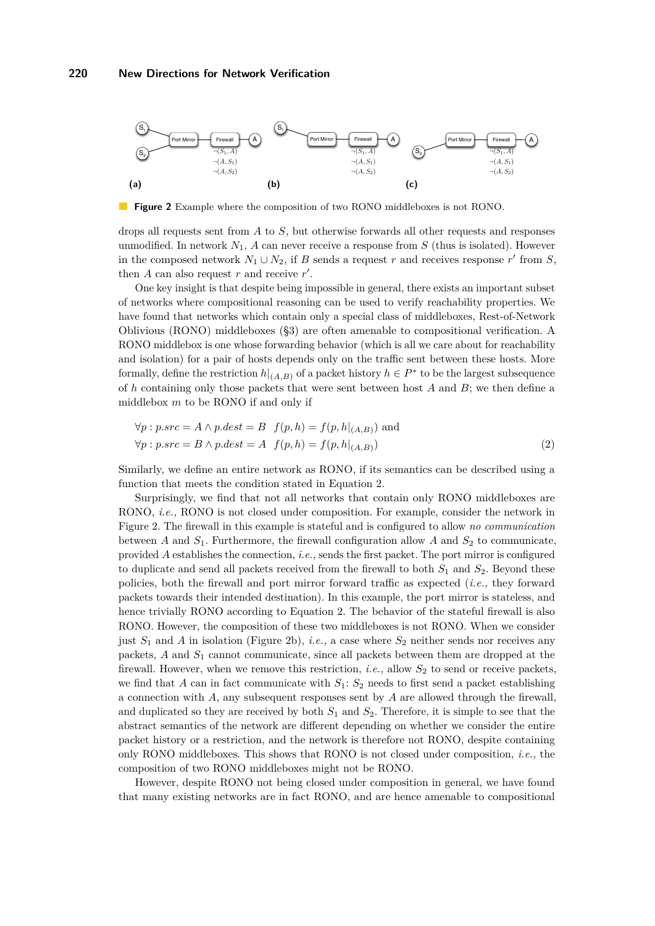<span id="page-8-2"></span><span id="page-8-1"></span>

**Figure 2** Example where the composition of two RONO middleboxes is not RONO.

drops all requests sent from *A* to *S*, but otherwise forwards all other requests and responses unmodified. In network  $N_1$ ,  $A$  can never receive a response from  $S$  (thus is isolated). However in the composed network  $N_1 \cup N_2$ , if *B* sends a request *r* and receives response *r'* from *S*, then  $A$  can also request  $r$  and receive  $r'$ .

One key insight is that despite being impossible in general, there exists an important subset of networks where compositional reasoning can be used to verify reachability properties. We have found that networks which contain only a special class of middleboxes, Rest-of-Network Oblivious (RONO) middleboxes ([§3\)](#page-4-0) are often amenable to compositional verification. A RONO middlebox is one whose forwarding behavior (which is all we care about for reachability and isolation) for a pair of hosts depends only on the traffic sent between these hosts. More formally, define the restriction  $h|_{(A,B)}$  of a packet history  $h \in P^*$  to be the largest subsequence of *h* containing only those packets that were sent between host *A* and *B*; we then define a middlebox *m* to be RONO if and only if

<span id="page-8-0"></span>
$$
\forall p: p.src = A \land p.dest = B \quad f(p,h) = f(p,h|_{(A,B)}) \text{ and}
$$

$$
\forall p: p.src = B \land p.dest = A \quad f(p,h) = f(p,h|_{(A,B)})
$$
(2)

Similarly, we define an entire network as RONO, if its semantics can be described using a function that meets the condition stated in Equation [2.](#page-8-0)

Surprisingly, we find that not all networks that contain only RONO middleboxes are RONO, *i.e.,* RONO is not closed under composition. For example, consider the network in Figure [2.](#page-8-1) The firewall in this example is stateful and is configured to allow *no communication* between *A* and  $S_1$ . Furthermore, the firewall configuration allow *A* and  $S_2$  to communicate, provided *A* establishes the connection, *i.e.,* sends the first packet. The port mirror is configured to duplicate and send all packets received from the firewall to both *S*<sup>1</sup> and *S*2. Beyond these policies, both the firewall and port mirror forward traffic as expected (*i.e.,* they forward packets towards their intended destination). In this example, the port mirror is stateless, and hence trivially RONO according to Equation [2.](#page-8-0) The behavior of the stateful firewall is also RONO. However, the composition of these two middleboxes is not RONO. When we consider just  $S_1$  and  $A$  in isolation (Figure [2b\)](#page-8-2), *i.e.*, a case where  $S_2$  neither sends nor receives any packets, *A* and *S*<sup>1</sup> cannot communicate, since all packets between them are dropped at the firewall. However, when we remove this restriction, *i.e.*, allow  $S_2$  to send or receive packets, we find that *A* can in fact communicate with  $S_1$ :  $S_2$  needs to first send a packet establishing a connection with *A*, any subsequent responses sent by *A* are allowed through the firewall, and duplicated so they are received by both  $S_1$  and  $S_2$ . Therefore, it is simple to see that the abstract semantics of the network are different depending on whether we consider the entire packet history or a restriction, and the network is therefore not RONO, despite containing only RONO middleboxes. This shows that RONO is not closed under composition, *i.e.,* the composition of two RONO middleboxes might not be RONO.

However, despite RONO not being closed under composition in general, we have found that many existing networks are in fact RONO, and are hence amenable to compositional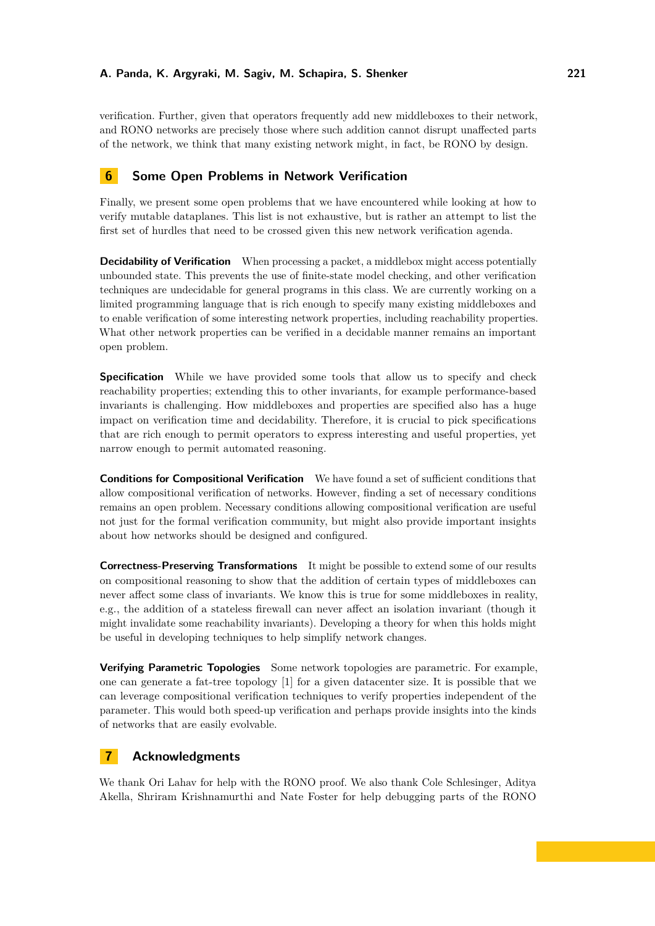verification. Further, given that operators frequently add new middleboxes to their network, and RONO networks are precisely those where such addition cannot disrupt unaffected parts of the network, we think that many existing network might, in fact, be RONO by design.

### **6 Some Open Problems in Network Verification**

Finally, we present some open problems that we have encountered while looking at how to verify mutable dataplanes. This list is not exhaustive, but is rather an attempt to list the first set of hurdles that need to be crossed given this new network verification agenda.

**Decidability of Verification** When processing a packet, a middlebox might access potentially unbounded state. This prevents the use of finite-state model checking, and other verification techniques are undecidable for general programs in this class. We are currently working on a limited programming language that is rich enough to specify many existing middleboxes and to enable verification of some interesting network properties, including reachability properties. What other network properties can be verified in a decidable manner remains an important open problem.

**Specification** While we have provided some tools that allow us to specify and check reachability properties; extending this to other invariants, for example performance-based invariants is challenging. How middleboxes and properties are specified also has a huge impact on verification time and decidability. Therefore, it is crucial to pick specifications that are rich enough to permit operators to express interesting and useful properties, yet narrow enough to permit automated reasoning.

**Conditions for Compositional Verification** We have found a set of sufficient conditions that allow compositional verification of networks. However, finding a set of necessary conditions remains an open problem. Necessary conditions allowing compositional verification are useful not just for the formal verification community, but might also provide important insights about how networks should be designed and configured.

**Correctness-Preserving Transformations** It might be possible to extend some of our results on compositional reasoning to show that the addition of certain types of middleboxes can never affect some class of invariants. We know this is true for some middleboxes in reality, e.g., the addition of a stateless firewall can never affect an isolation invariant (though it might invalidate some reachability invariants). Developing a theory for when this holds might be useful in developing techniques to help simplify network changes.

**Verifying Parametric Topologies** Some network topologies are parametric. For example, one can generate a fat-tree topology [\[1\]](#page-10-16) for a given datacenter size. It is possible that we can leverage compositional verification techniques to verify properties independent of the parameter. This would both speed-up verification and perhaps provide insights into the kinds of networks that are easily evolvable.

### **7 Acknowledgments**

We thank Ori Lahav for help with the RONO proof. We also thank Cole Schlesinger, Aditya Akella, Shriram Krishnamurthi and Nate Foster for help debugging parts of the RONO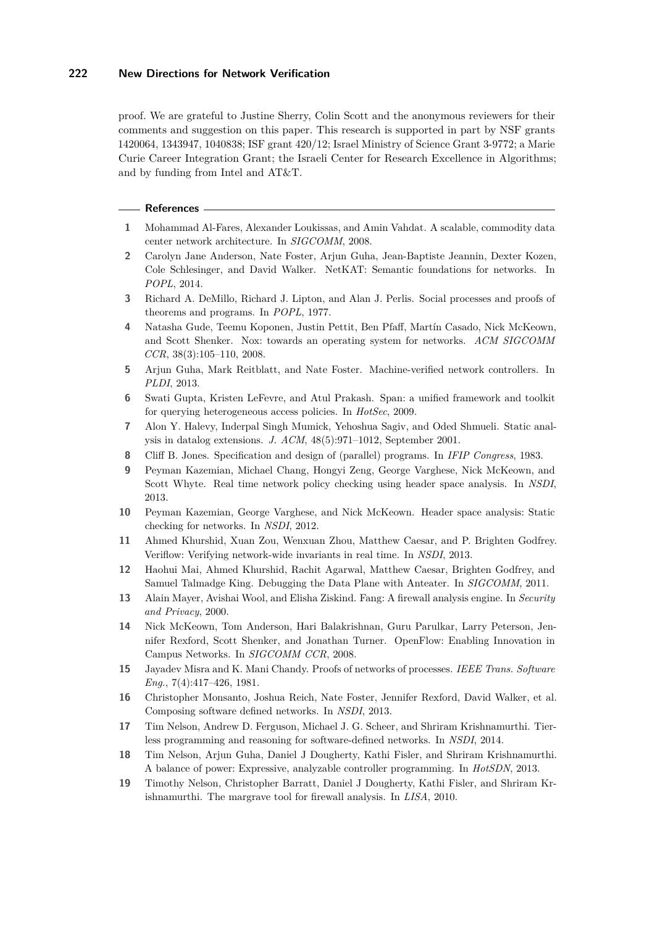proof. We are grateful to Justine Sherry, Colin Scott and the anonymous reviewers for their comments and suggestion on this paper. This research is supported in part by NSF grants 1420064, 1343947, 1040838; ISF grant 420/12; Israel Ministry of Science Grant 3-9772; a Marie Curie Career Integration Grant; the Israeli Center for Research Excellence in Algorithms; and by funding from Intel and AT&T.

#### **References**

- <span id="page-10-16"></span>**1** Mohammad Al-Fares, Alexander Loukissas, and Amin Vahdat. A scalable, commodity data center network architecture. In *SIGCOMM*, 2008.
- <span id="page-10-3"></span>**2** Carolyn Jane Anderson, Nate Foster, Arjun Guha, Jean-Baptiste Jeannin, Dexter Kozen, Cole Schlesinger, and David Walker. NetKAT: Semantic foundations for networks. In *POPL*, 2014.
- <span id="page-10-13"></span>**3** Richard A. DeMillo, Richard J. Lipton, and Alan J. Perlis. Social processes and proofs of theorems and programs. In *POPL*, 1977.
- <span id="page-10-10"></span>**4** Natasha Gude, Teemu Koponen, Justin Pettit, Ben Pfaff, Martín Casado, Nick McKeown, and Scott Shenker. Nox: towards an operating system for networks. *ACM SIGCOMM CCR*, 38(3):105–110, 2008.
- <span id="page-10-4"></span>**5** Arjun Guha, Mark Reitblatt, and Nate Foster. Machine-verified network controllers. In *PLDI*, 2013.
- <span id="page-10-8"></span>**6** Swati Gupta, Kristen LeFevre, and Atul Prakash. Span: a unified framework and toolkit for querying heterogeneous access policies. In *HotSec*, 2009.
- <span id="page-10-12"></span>**7** Alon Y. Halevy, Inderpal Singh Mumick, Yehoshua Sagiv, and Oded Shmueli. Static analysis in datalog extensions. *J. ACM*, 48(5):971–1012, September 2001.
- <span id="page-10-14"></span>**8** Cliff B. Jones. Specification and design of (parallel) programs. In *IFIP Congress*, 1983.
- <span id="page-10-1"></span>**9** Peyman Kazemian, Michael Chang, Hongyi Zeng, George Varghese, Nick McKeown, and Scott Whyte. Real time network policy checking using header space analysis. In *NSDI*, 2013.
- **10** Peyman Kazemian, George Varghese, and Nick McKeown. Header space analysis: Static checking for networks. In *NSDI*, 2012.
- **11** Ahmed Khurshid, Xuan Zou, Wenxuan Zhou, Matthew Caesar, and P. Brighten Godfrey. Veriflow: Verifying network-wide invariants in real time. In *NSDI*, 2013.
- <span id="page-10-2"></span>**12** Haohui Mai, Ahmed Khurshid, Rachit Agarwal, Matthew Caesar, Brighten Godfrey, and Samuel Talmadge King. Debugging the Data Plane with Anteater. In *SIGCOMM*, 2011.
- <span id="page-10-7"></span>**13** Alain Mayer, Avishai Wool, and Elisha Ziskind. Fang: A firewall analysis engine. In *Security and Privacy*, 2000.
- <span id="page-10-0"></span>**14** Nick McKeown, Tom Anderson, Hari Balakrishnan, Guru Parulkar, Larry Peterson, Jennifer Rexford, Scott Shenker, and Jonathan Turner. OpenFlow: Enabling Innovation in Campus Networks. In *SIGCOMM CCR*, 2008.
- <span id="page-10-15"></span>**15** Jayadev Misra and K. Mani Chandy. Proofs of networks of processes. *IEEE Trans. Software Eng.*, 7(4):417–426, 1981.
- <span id="page-10-11"></span>**16** Christopher Monsanto, Joshua Reich, Nate Foster, Jennifer Rexford, David Walker, et al. Composing software defined networks. In *NSDI*, 2013.
- <span id="page-10-5"></span>**17** Tim Nelson, Andrew D. Ferguson, Michael J. G. Scheer, and Shriram Krishnamurthi. Tierless programming and reasoning for software-defined networks. In *NSDI*, 2014.
- <span id="page-10-6"></span>**18** Tim Nelson, Arjun Guha, Daniel J Dougherty, Kathi Fisler, and Shriram Krishnamurthi. A balance of power: Expressive, analyzable controller programming. In *HotSDN*, 2013.
- <span id="page-10-9"></span>**19** Timothy Nelson, Christopher Barratt, Daniel J Dougherty, Kathi Fisler, and Shriram Krishnamurthi. The margrave tool for firewall analysis. In *LISA*, 2010.